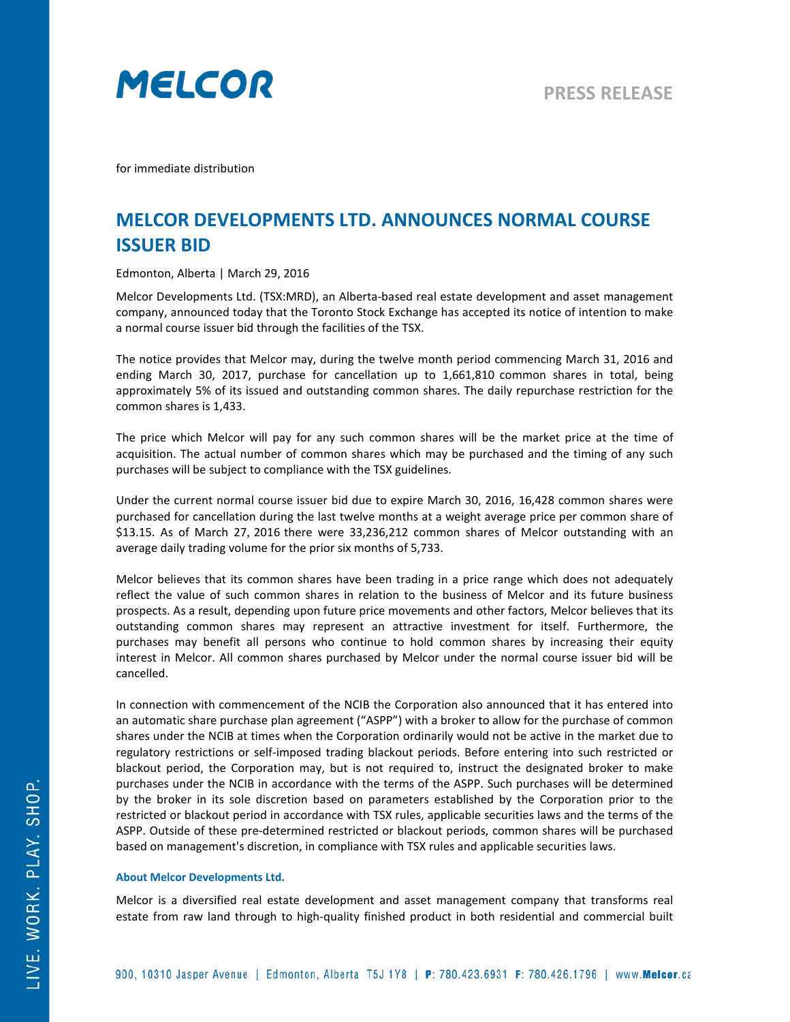

for immediate distribution

## **MELCOR DEVELOPMENTS LTD. ANNOUNCES NORMAL COURSE ISSUER BID**

Edmonton, Alberta | March 29, 2016

Melcor Developments Ltd. (TSX:MRD), an Alberta-based real estate development and asset management company, announced today that the Toronto Stock Exchange has accepted its notice of intention to make a normal course issuer bid through the facilities of the TSX.

The notice provides that Melcor may, during the twelve month period commencing March 31, 2016 and ending March 30, 2017, purchase for cancellation up to 1,661,810 common shares in total, being approximately 5% of its issued and outstanding common shares. The daily repurchase restriction for the common shares is 1,433.

The price which Melcor will pay for any such common shares will be the market price at the time of acquisition. The actual number of common shares which may be purchased and the timing of any such purchases will be subject to compliance with the TSX guidelines.

Under the current normal course issuer bid due to expire March 30, 2016, 16,428 common shares were purchased for cancellation during the last twelve months at a weight average price per common share of \$13.15. As of March 27, 2016 there were 33,236,212 common shares of Melcor outstanding with an average daily trading volume for the prior six months of 5,733.

Melcor believes that its common shares have been trading in a price range which does not adequately reflect the value of such common shares in relation to the business of Melcor and its future business prospects. As a result, depending upon future price movements and other factors, Melcor believes that its outstanding common shares may represent an attractive investment for itself. Furthermore, the purchases may benefit all persons who continue to hold common shares by increasing their equity interest in Melcor. All common shares purchased by Melcor under the normal course issuer bid will be cancelled.

In connection with commencement of the NCIB the Corporation also announced that it has entered into an automatic share purchase plan agreement ("ASPP") with a broker to allow for the purchase of common shares under the NCIB at times when the Corporation ordinarily would not be active in the market due to regulatory restrictions or self-imposed trading blackout periods. Before entering into such restricted or blackout period, the Corporation may, but is not required to, instruct the designated broker to make purchases under the NCIB in accordance with the terms of the ASPP. Such purchases will be determined by the broker in its sole discretion based on parameters established by the Corporation prior to the restricted or blackout period in accordance with TSX rules, applicable securities laws and the terms of the ASPP. Outside of these pre-determined restricted or blackout periods, common shares will be purchased based on management's discretion, in compliance with TSX rules and applicable securities laws.

## **About Melcor Developments Ltd.**

Melcor is a diversified real estate development and asset management company that transforms real estate from raw land through to high-quality finished product in both residential and commercial built